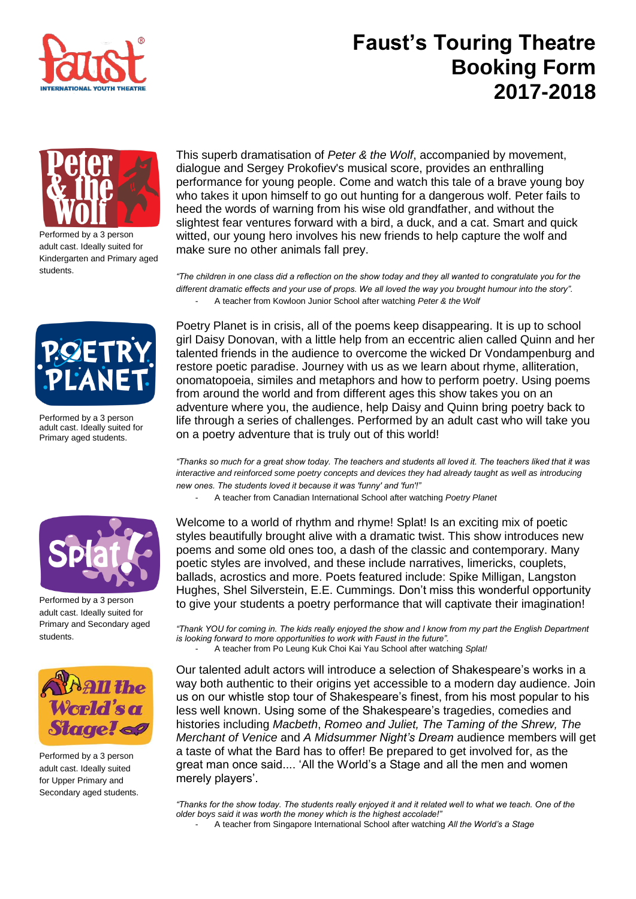

## **Faust's Touring Theatre Booking Form 2017-2018**



Performed by a 3 person adult cast. Ideally suited for Kindergarten and Primary aged students.



Performed by a 3 person adult cast. Ideally suited for Primary aged students.



Performed by a 3 person adult cast. Ideally suited for Primary and Secondary aged students.



Performed by a 3 person adult cast. Ideally suited for Upper Primary and Secondary aged students.

This superb dramatisation of *Peter & the Wolf*, accompanied by movement, dialogue and Sergey Prokofiev's musical score, provides an enthralling performance for young people. Come and watch this tale of a brave young boy who takes it upon himself to go out hunting for a dangerous wolf. Peter fails to heed the words of warning from his wise old grandfather, and without the slightest fear ventures forward with a bird, a duck, and a cat. Smart and quick witted, our young hero involves his new friends to help capture the wolf and make sure no other animals fall prey.

*"The children in one class did a reflection on the show today and they all wanted to congratulate you for the different dramatic effects and your use of props. We all loved the way you brought humour into the story".* - A teacher from Kowloon Junior School after watching *Peter & the Wolf*

Poetry Planet is in crisis, all of the poems keep disappearing. It is up to school girl Daisy Donovan, with a little help from an eccentric alien called Quinn and her talented friends in the audience to overcome the wicked Dr Vondampenburg and restore poetic paradise. Journey with us as we learn about rhyme, alliteration, onomatopoeia, similes and metaphors and how to perform poetry. Using poems from around the world and from different ages this show takes you on an adventure where you, the audience, help Daisy and Quinn bring poetry back to life through a series of challenges. Performed by an adult cast who will take you on a poetry adventure that is truly out of this world!

*"Thanks so much for a great show today. The teachers and students all loved it. The teachers liked that it was interactive and reinforced some poetry concepts and devices they had already taught as well as introducing new ones. The students loved it because it was 'funny' and 'fun'!"* 

- A teacher from Canadian International School after watching *Poetry Planet*

Welcome to a world of rhythm and rhyme! Splat! Is an exciting mix of poetic styles beautifully brought alive with a dramatic twist. This show introduces new poems and some old ones too, a dash of the classic and contemporary. Many poetic styles are involved, and these include narratives, limericks, couplets, ballads, acrostics and more. Poets featured include: Spike Milligan, Langston Hughes, Shel Silverstein, E.E. Cummings. Don't miss this wonderful opportunity to give your students a poetry performance that will captivate their imagination!

*"Thank YOU for coming in. The kids really enjoyed the show and I know from my part the English Department is looking forward to more opportunities to work with Faust in the future".* - A teacher from Po Leung Kuk Choi Kai Yau School after watching *Splat!*

Our talented adult actors will introduce a selection of Shakespeare's works in a way both authentic to their origins yet accessible to a modern day audience. Join us on our whistle stop tour of Shakespeare's finest, from his most popular to his less well known. Using some of the Shakespeare's tragedies, comedies and histories including *Macbeth*, *Romeo and Juliet, The Taming of the Shrew, The Merchant of Venice* and *A Midsummer Night's Dream* audience members will get a taste of what the Bard has to offer! Be prepared to get involved for, as the great man once said.... 'All the World's a Stage and all the men and women merely players'.

*"Thanks for the show today. The students really enjoyed it and it related well to what we teach. One of the older boys said it was worth the money which is the highest accolade!"* 

- A teacher from Singapore International School after watching *All the World's a Stage*